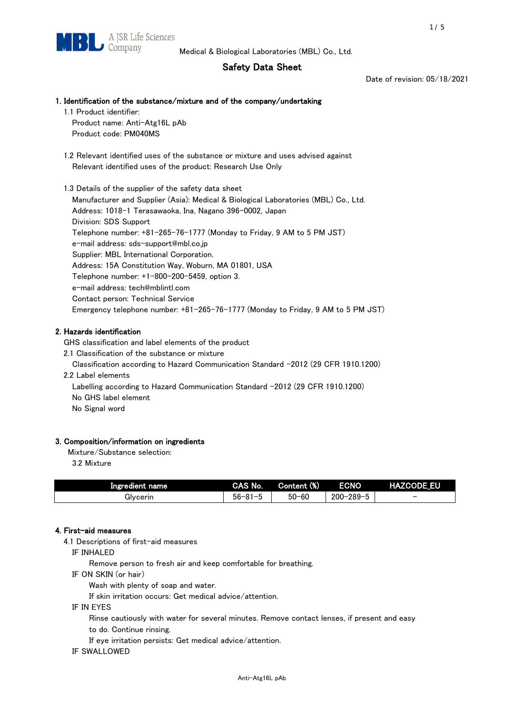# Safety Data Sheet

Date of revision: 05/18/2021

# 1. Identification of the substance/mixture and of the company/undertaking

1.1 Product identifier: Product name: Anti-Atg16L pAb

Product code: PM040MS

 1.2 Relevant identified uses of the substance or mixture and uses advised against Relevant identified uses of the product: Research Use Only

 1.3 Details of the supplier of the safety data sheet Manufacturer and Supplier (Asia): Medical & Biological Laboratories (MBL) Co., Ltd. Address: 1018-1 Terasawaoka, Ina, Nagano 396-0002, Japan Division: SDS Support Telephone number: +81-265-76-1777 (Monday to Friday, 9 AM to 5 PM JST) e-mail address: sds-support@mbl.co.jp Supplier: MBL International Corporation. Address: 15A Constitution Way, Woburn, MA 01801, USA Telephone number: +1-800-200-5459, option 3. e-mail address: tech@mblintl.com Contact person: Technical Service Emergency telephone number: +81-265-76-1777 (Monday to Friday, 9 AM to 5 PM JST)

# 2. Hazards identification

GHS classification and label elements of the product

2.1 Classification of the substance or mixture

Classification according to Hazard Communication Standard -2012 (29 CFR 1910.1200)

2.2 Label elements

Labelling according to Hazard Communication Standard -2012 (29 CFR 1910.1200) No GHS label element

No Signal word

# 3. Composition/information on ingredients

Mixture/Substance selection:

3.2 Mixture

| Ingredient name | CAS No.             | Content (%) | <b>ECNO</b>                                              | <b>HAZCODE_EU</b>        |
|-----------------|---------------------|-------------|----------------------------------------------------------|--------------------------|
| Glvcerin        | $56 - 81 -$<br>ິບ ເ | $50 - 60$   | $-289 - 1$<br>$200 - 2$<br>$\overline{\phantom{0}}$<br>v | $\overline{\phantom{0}}$ |

# 4. First-aid measures

4.1 Descriptions of first-aid measures

IF INHALED

Remove person to fresh air and keep comfortable for breathing.

IF ON SKIN (or hair)

Wash with plenty of soap and water.

If skin irritation occurs: Get medical advice/attention.

IF IN EYES

Rinse cautiously with water for several minutes. Remove contact lenses, if present and easy

to do. Continue rinsing.

If eye irritation persists: Get medical advice/attention.

IF SWALLOWED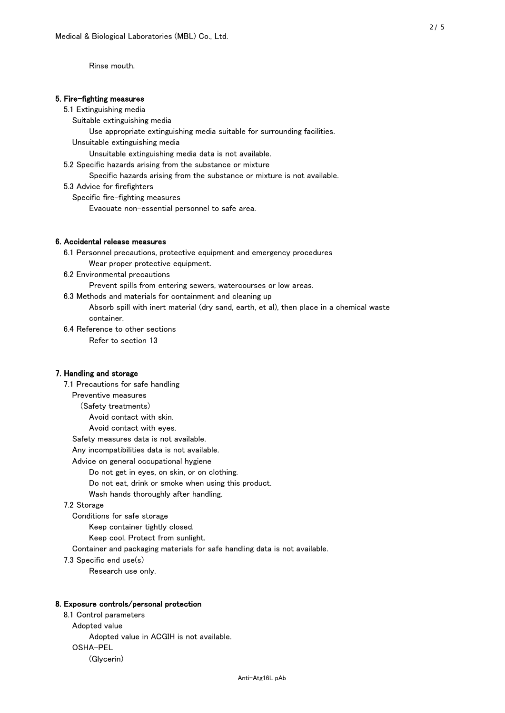Rinse mouth.

## 5. Fire-fighting measures

### 5.1 Extinguishing media

Suitable extinguishing media

Use appropriate extinguishing media suitable for surrounding facilities.

Unsuitable extinguishing media

Unsuitable extinguishing media data is not available.

5.2 Specific hazards arising from the substance or mixture

Specific hazards arising from the substance or mixture is not available.

5.3 Advice for firefighters

Specific fire-fighting measures

Evacuate non-essential personnel to safe area.

# 6. Accidental release measures

 6.1 Personnel precautions, protective equipment and emergency procedures Wear proper protective equipment.

6.2 Environmental precautions

Prevent spills from entering sewers, watercourses or low areas.

6.3 Methods and materials for containment and cleaning up

 Absorb spill with inert material (dry sand, earth, et al), then place in a chemical waste container.

6.4 Reference to other sections

Refer to section 13

# 7. Handling and storage

 7.1 Precautions for safe handling Preventive measures (Safety treatments) Avoid contact with skin. Avoid contact with eyes. Safety measures data is not available. Any incompatibilities data is not available. Advice on general occupational hygiene Do not get in eyes, on skin, or on clothing. Do not eat, drink or smoke when using this product. Wash hands thoroughly after handling. 7.2 Storage Conditions for safe storage Keep container tightly closed.

Keep cool. Protect from sunlight.

Container and packaging materials for safe handling data is not available.

7.3 Specific end use(s)

Research use only.

#### 8. Exposure controls/personal protection

 8.1 Control parameters Adopted value Adopted value in ACGIH is not available. OSHA-PEL (Glycerin)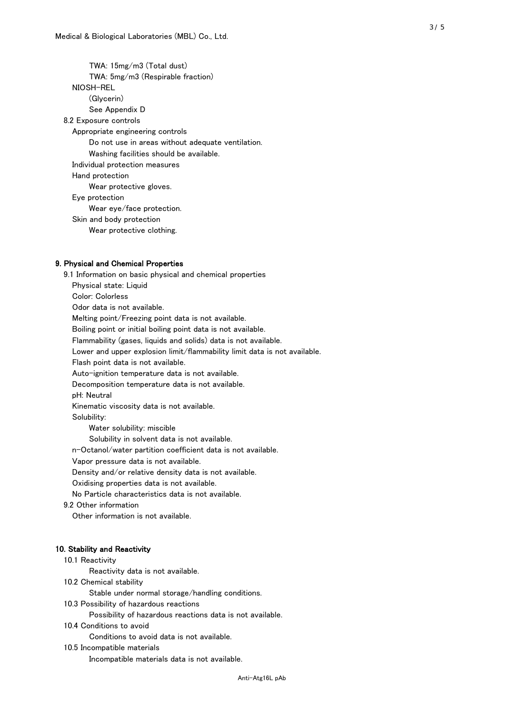TWA: 15mg/m3 (Total dust) TWA: 5mg/m3 (Respirable fraction) NIOSH-REL (Glycerin) See Appendix D 8.2 Exposure controls Appropriate engineering controls Do not use in areas without adequate ventilation. Washing facilities should be available. Individual protection measures Hand protection Wear protective gloves. Eye protection Wear eye/face protection. Skin and body protection Wear protective clothing.

### 9. Physical and Chemical Properties

 9.1 Information on basic physical and chemical properties Physical state: Liquid Color: Colorless Odor data is not available. Melting point/Freezing point data is not available. Boiling point or initial boiling point data is not available. Flammability (gases, liquids and solids) data is not available. Lower and upper explosion limit/flammability limit data is not available. Flash point data is not available. Auto-ignition temperature data is not available. Decomposition temperature data is not available. pH: Neutral Kinematic viscosity data is not available. Solubility: Water solubility: miscible Solubility in solvent data is not available. n-Octanol/water partition coefficient data is not available. Vapor pressure data is not available. Density and/or relative density data is not available. Oxidising properties data is not available. No Particle characteristics data is not available. 9.2 Other information Other information is not available. 10. Stability and Reactivity 10.1 Reactivity Reactivity data is not available. 10.2 Chemical stability Stable under normal storage/handling conditions. 10.3 Possibility of hazardous reactions

Possibility of hazardous reactions data is not available.

### 10.4 Conditions to avoid

Conditions to avoid data is not available.

#### 10.5 Incompatible materials

Incompatible materials data is not available.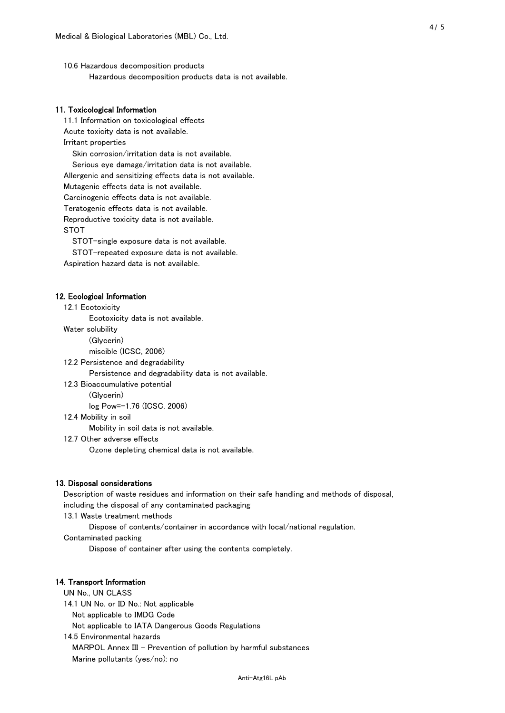10.6 Hazardous decomposition products Hazardous decomposition products data is not available.

# 11. Toxicological Information

 11.1 Information on toxicological effects Acute toxicity data is not available. Irritant properties Skin corrosion/irritation data is not available. Serious eye damage/irritation data is not available. Allergenic and sensitizing effects data is not available. Mutagenic effects data is not available. Carcinogenic effects data is not available. Teratogenic effects data is not available. Reproductive toxicity data is not available. STOT

STOT-single exposure data is not available.

STOT-repeated exposure data is not available.

Aspiration hazard data is not available.

#### 12. Ecological Information

12.1 Ecotoxicity

Ecotoxicity data is not available.

Water solubility

(Glycerin)

miscible (ICSC, 2006)

12.2 Persistence and degradability

Persistence and degradability data is not available.

12.3 Bioaccumulative potential

(Glycerin)

log Pow=-1.76 (ICSC, 2006)

12.4 Mobility in soil

Mobility in soil data is not available.

12.7 Other adverse effects

Ozone depleting chemical data is not available.

#### 13. Disposal considerations

 Description of waste residues and information on their safe handling and methods of disposal, including the disposal of any contaminated packaging

13.1 Waste treatment methods

Dispose of contents/container in accordance with local/national regulation.

Contaminated packing

Dispose of container after using the contents completely.

### 14. Transport Information

 UN No., UN CLASS 14.1 UN No. or ID No.: Not applicable Not applicable to IMDG Code Not applicable to IATA Dangerous Goods Regulations

 14.5 Environmental hazards MARPOL Annex III - Prevention of pollution by harmful substances Marine pollutants (yes/no): no